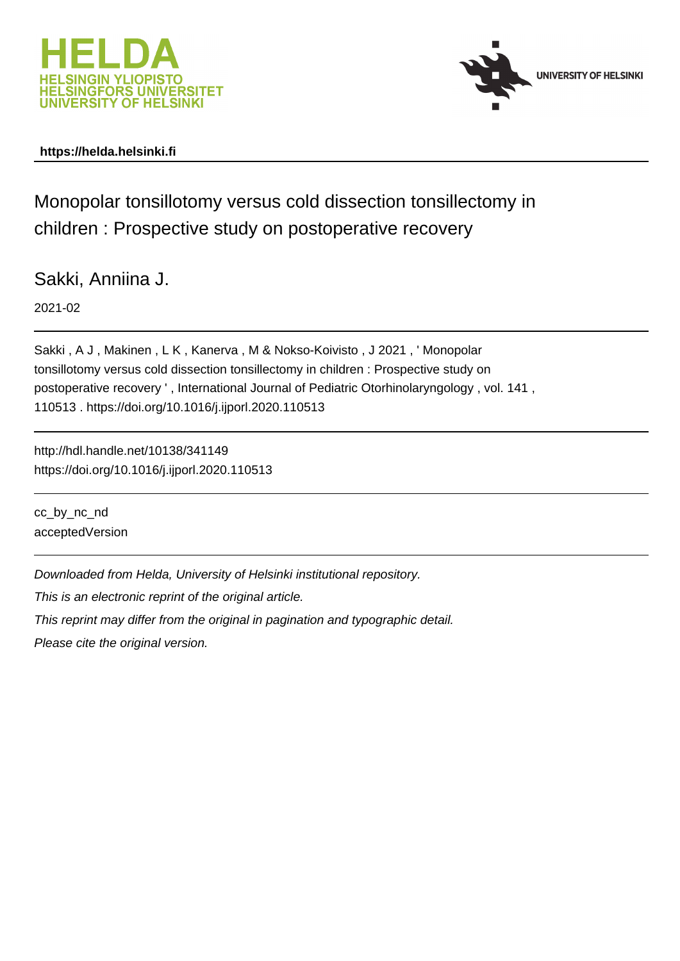



# **https://helda.helsinki.fi**

Monopolar tonsillotomy versus cold dissection tonsillectomy in children : Prospective study on postoperative recovery

Sakki, Anniina J.

2021-02

Sakki , A J , Makinen , L K , Kanerva , M & Nokso-Koivisto , J 2021 , ' Monopolar tonsillotomy versus cold dissection tonsillectomy in children : Prospective study on postoperative recovery ' , International Journal of Pediatric Otorhinolaryngology , vol. 141 , 110513 . https://doi.org/10.1016/j.ijporl.2020.110513

http://hdl.handle.net/10138/341149 https://doi.org/10.1016/j.ijporl.2020.110513

cc\_by\_nc\_nd acceptedVersion

Downloaded from Helda, University of Helsinki institutional repository.

This is an electronic reprint of the original article.

This reprint may differ from the original in pagination and typographic detail.

Please cite the original version.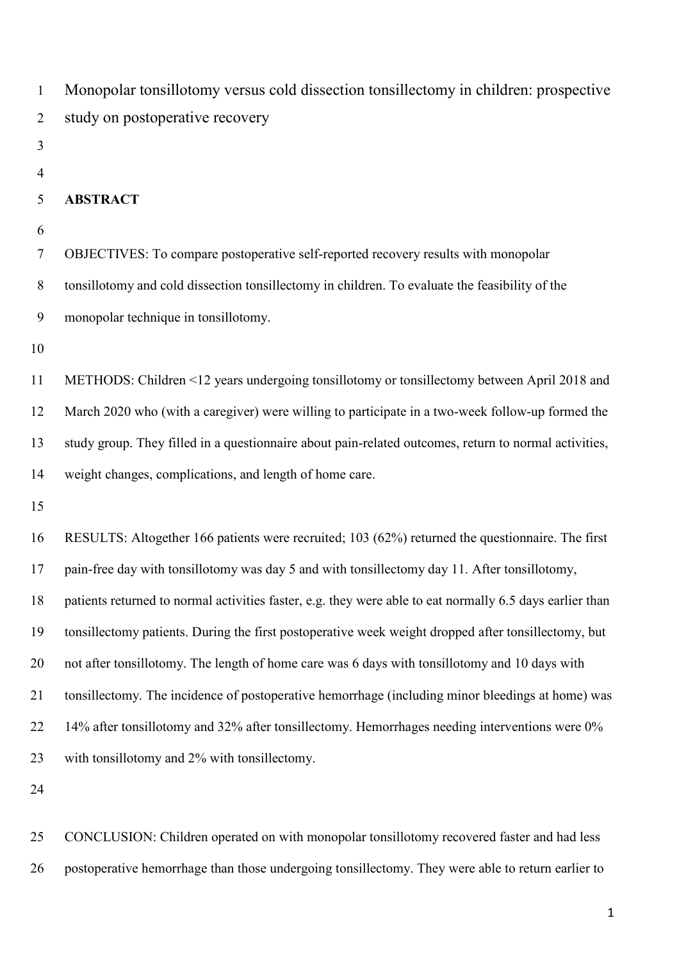Monopolar tonsillotomy versus cold dissection tonsillectomy in children: prospective study on postoperative recovery

- 
- 

# **ABSTRACT**

 OBJECTIVES: To compare postoperative self-reported recovery results with monopolar tonsillotomy and cold dissection tonsillectomy in children. To evaluate the feasibility of the monopolar technique in tonsillotomy.

 METHODS: Children <12 years undergoing tonsillotomy or tonsillectomy between April 2018 and March 2020 who (with a caregiver) were willing to participate in a two-week follow-up formed the study group. They filled in a questionnaire about pain-related outcomes, return to normal activities, weight changes, complications, and length of home care.

 RESULTS: Altogether 166 patients were recruited; 103 (62%) returned the questionnaire. The first pain-free day with tonsillotomy was day 5 and with tonsillectomy day 11. After tonsillotomy, patients returned to normal activities faster, e.g. they were able to eat normally 6.5 days earlier than tonsillectomy patients. During the first postoperative week weight dropped after tonsillectomy, but not after tonsillotomy. The length of home care was 6 days with tonsillotomy and 10 days with tonsillectomy. The incidence of postoperative hemorrhage (including minor bleedings at home) was 14% after tonsillotomy and 32% after tonsillectomy. Hemorrhages needing interventions were 0% with tonsillotomy and 2% with tonsillectomy.

 CONCLUSION: Children operated on with monopolar tonsillotomy recovered faster and had less postoperative hemorrhage than those undergoing tonsillectomy. They were able to return earlier to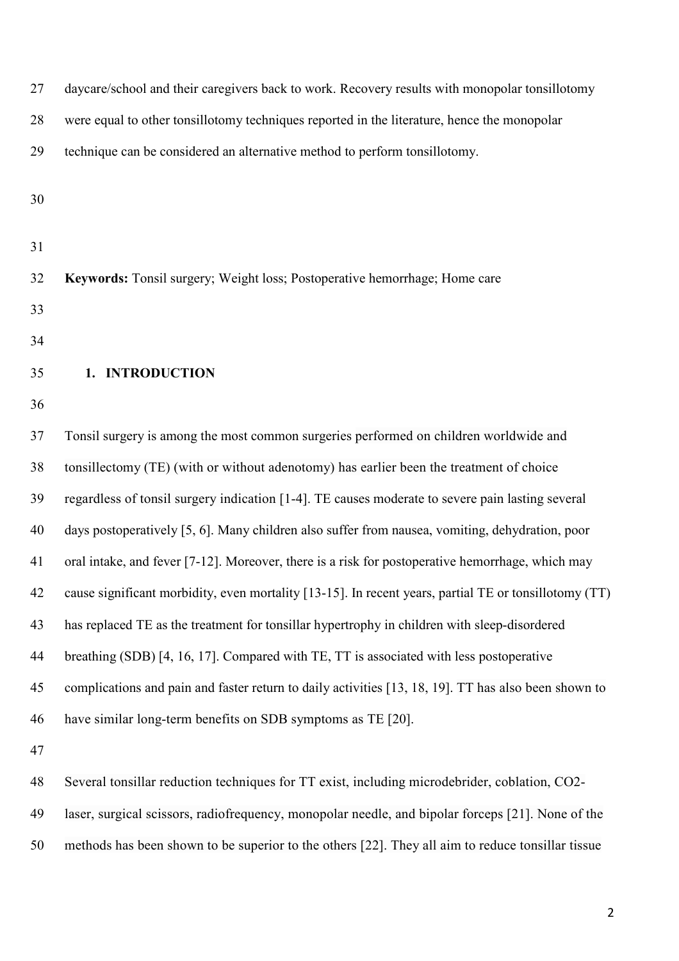| 27 | daycare/school and their caregivers back to work. Recovery results with monopolar tonsillotomy        |
|----|-------------------------------------------------------------------------------------------------------|
| 28 | were equal to other tonsillotomy techniques reported in the literature, hence the monopolar           |
| 29 | technique can be considered an alternative method to perform tonsillotomy.                            |
| 30 |                                                                                                       |
|    |                                                                                                       |
| 31 |                                                                                                       |
| 32 | Keywords: Tonsil surgery; Weight loss; Postoperative hemorrhage; Home care                            |
| 33 |                                                                                                       |
| 34 |                                                                                                       |
| 35 | 1. INTRODUCTION                                                                                       |
| 36 |                                                                                                       |
| 37 | Tonsil surgery is among the most common surgeries performed on children worldwide and                 |
| 38 | tonsillectomy (TE) (with or without adenotomy) has earlier been the treatment of choice               |
| 39 | regardless of tonsil surgery indication [1-4]. TE causes moderate to severe pain lasting several      |
| 40 | days postoperatively [5, 6]. Many children also suffer from nausea, vomiting, dehydration, poor       |
| 41 | oral intake, and fever [7-12]. Moreover, there is a risk for postoperative hemorrhage, which may      |
| 42 | cause significant morbidity, even mortality [13-15]. In recent years, partial TE or tonsillotomy (TT) |
| 43 | has replaced TE as the treatment for tonsillar hypertrophy in children with sleep-disordered          |
| 44 | breathing (SDB) [4, 16, 17]. Compared with TE, TT is associated with less postoperative               |
| 45 | complications and pain and faster return to daily activities [13, 18, 19]. TT has also been shown to  |
| 46 | have similar long-term benefits on SDB symptoms as TE [20].                                           |
| 47 |                                                                                                       |
| 48 | Several tonsillar reduction techniques for TT exist, including microdebrider, coblation, CO2-         |
| 49 | laser, surgical scissors, radiofrequency, monopolar needle, and bipolar forceps [21]. None of the     |
| 50 | methods has been shown to be superior to the others [22]. They all aim to reduce tonsillar tissue     |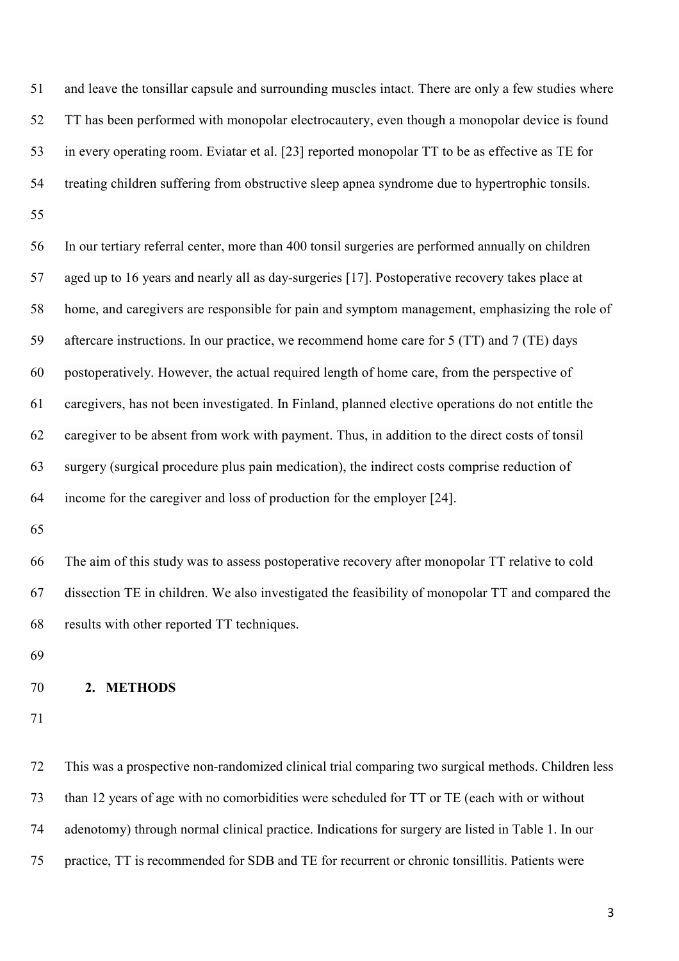and leave the tonsillar capsule and surrounding muscles intact. There are only a few studies where TT has been performed with monopolar electrocautery, even though a monopolar device is found in every operating room. Eviatar et al. [23] reported monopolar TT to be as effective as TE for treating children suffering from obstructive sleep apnea syndrome due to hypertrophic tonsils. 

 In our tertiary referral center, more than 400 tonsil surgeries are performed annually on children aged up to 16 years and nearly all as day-surgeries [17]. Postoperative recovery takes place at home, and caregivers are responsible for pain and symptom management, emphasizing the role of aftercare instructions. In our practice, we recommend home care for 5 (TT) and 7 (TE) days postoperatively. However, the actual required length of home care, from the perspective of caregivers, has not been investigated. In Finland, planned elective operations do not entitle the caregiver to be absent from work with payment. Thus, in addition to the direct costs of tonsil surgery (surgical procedure plus pain medication), the indirect costs comprise reduction of income for the caregiver and loss of production for the employer [24].

 The aim of this study was to assess postoperative recovery after monopolar TT relative to cold dissection TE in children. We also investigated the feasibility of monopolar TT and compared the results with other reported TT techniques.

### **2. METHODS**

 This was a prospective non-randomized clinical trial comparing two surgical methods. Children less than 12 years of age with no comorbidities were scheduled for TT or TE (each with or without adenotomy) through normal clinical practice. Indications for surgery are listed in Table 1. In our practice, TT is recommended for SDB and TE for recurrent or chronic tonsillitis. Patients were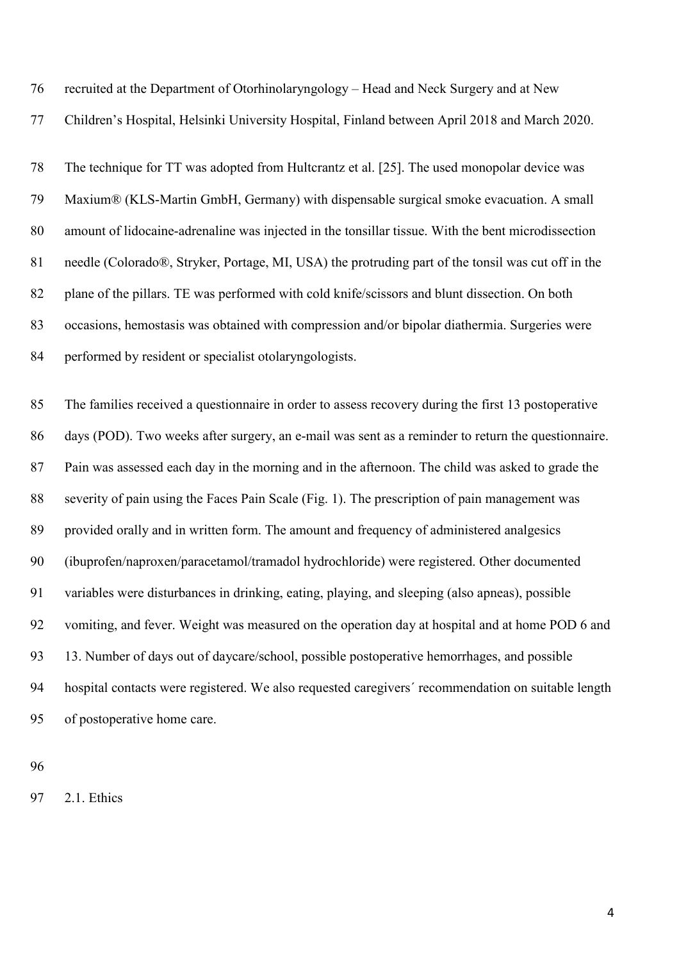|  |  |  | 76 recruited at the Department of Otorhinolaryngology – Head and Neck Surgery and at New |  |
|--|--|--|------------------------------------------------------------------------------------------|--|
|--|--|--|------------------------------------------------------------------------------------------|--|

Children's Hospital, Helsinki University Hospital, Finland between April 2018 and March 2020.

 The technique for TT was adopted from Hultcrantz et al. [25]. The used monopolar device was Maxium® (KLS-Martin GmbH, Germany) with dispensable surgical smoke evacuation. A small amount of lidocaine-adrenaline was injected in the tonsillar tissue. With the bent microdissection needle (Colorado®, Stryker, Portage, MI, USA) the protruding part of the tonsil was cut off in the plane of the pillars. TE was performed with cold knife/scissors and blunt dissection. On both occasions, hemostasis was obtained with compression and/or bipolar diathermia. Surgeries were performed by resident or specialist otolaryngologists.

 The families received a questionnaire in order to assess recovery during the first 13 postoperative days (POD). Two weeks after surgery, an e-mail was sent as a reminder to return the questionnaire. Pain was assessed each day in the morning and in the afternoon. The child was asked to grade the severity of pain using the Faces Pain Scale (Fig. 1). The prescription of pain management was provided orally and in written form. The amount and frequency of administered analgesics (ibuprofen/naproxen/paracetamol/tramadol hydrochloride) were registered. Other documented variables were disturbances in drinking, eating, playing, and sleeping (also apneas), possible vomiting, and fever. Weight was measured on the operation day at hospital and at home POD 6 and 13. Number of days out of daycare/school, possible postoperative hemorrhages, and possible hospital contacts were registered. We also requested caregivers´ recommendation on suitable length of postoperative home care.

2.1. Ethics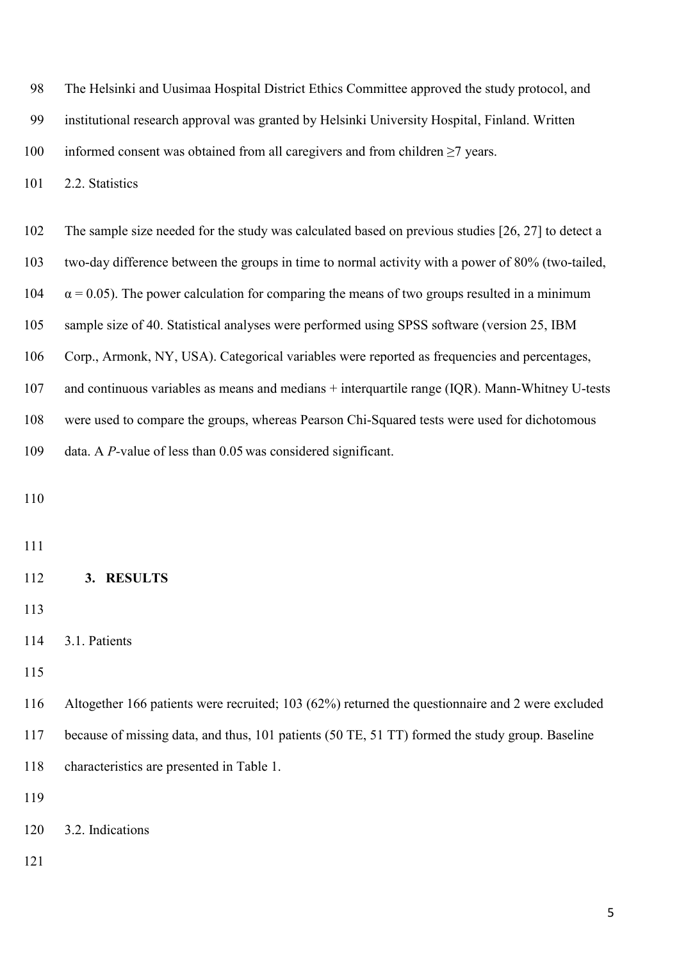|  |  |  | 98 The Helsinki and Uusimaa Hospital District Ethics Committee approved the study protocol, and |  |
|--|--|--|-------------------------------------------------------------------------------------------------|--|
|--|--|--|-------------------------------------------------------------------------------------------------|--|

institutional research approval was granted by Helsinki University Hospital, Finland. Written

informed consent was obtained from all caregivers and from children ≥7 years.

101 2.2. Statistics

The sample size needed for the study was calculated based on previous studies [26, 27] to detect a

two-day difference between the groups in time to normal activity with a power of 80% (two-tailed,

104  $\alpha = 0.05$ ). The power calculation for comparing the means of two groups resulted in a minimum

sample size of 40. Statistical analyses were performed using SPSS software (version 25, IBM

Corp., Armonk, NY, USA). Categorical variables were reported as frequencies and percentages,

and continuous variables as means and medians + interquartile range (IQR). Mann-Whitney U-tests

were used to compare the groups, whereas Pearson Chi-Squared tests were used for dichotomous

data. A *P-*value of less than 0.05 was considered significant.

## **3. RESULTS**

 Altogether 166 patients were recruited; 103 (62%) returned the questionnaire and 2 were excluded because of missing data, and thus, 101 patients (50 TE, 51 TT) formed the study group. Baseline characteristics are presented in Table 1.

3.2. Indications

3.1. Patients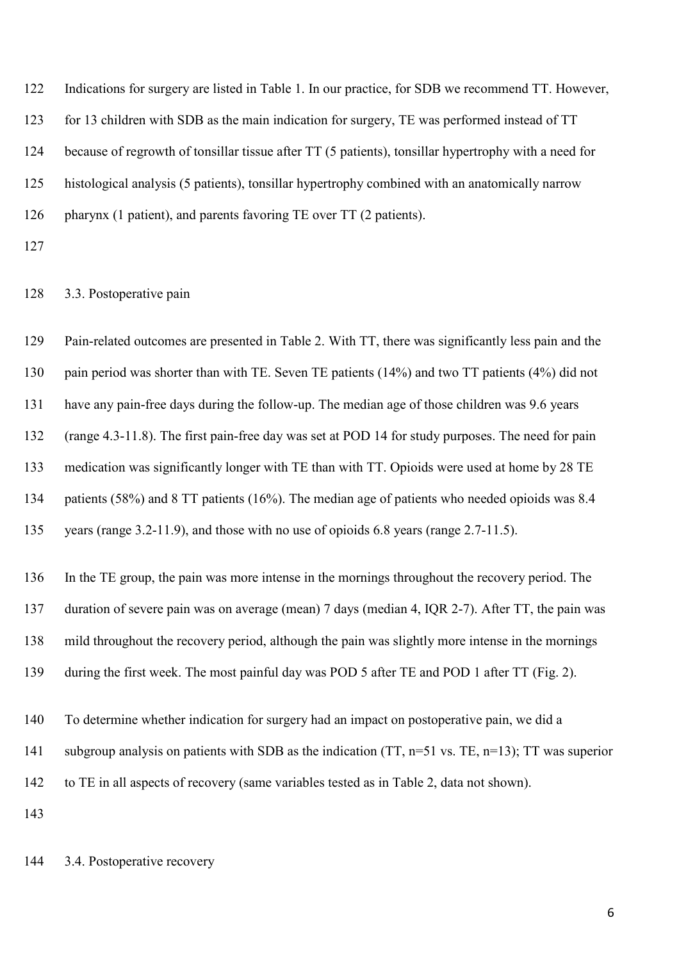Indications for surgery are listed in Table 1. In our practice, for SDB we recommend TT. However, for 13 children with SDB as the main indication for surgery, TE was performed instead of TT because of regrowth of tonsillar tissue after TT (5 patients), tonsillar hypertrophy with a need for histological analysis (5 patients), tonsillar hypertrophy combined with an anatomically narrow 126 pharynx (1 patient), and parents favoring TE over TT (2 patients).

## 3.3. Postoperative pain

 Pain-related outcomes are presented in Table 2. With TT, there was significantly less pain and the 130 pain period was shorter than with TE. Seven TE patients (14%) and two TT patients (4%) did not have any pain-free days during the follow-up. The median age of those children was 9.6 years (range 4.3-11.8). The first pain-free day was set at POD 14 for study purposes. The need for pain medication was significantly longer with TE than with TT. Opioids were used at home by 28 TE patients (58%) and 8 TT patients (16%). The median age of patients who needed opioids was 8.4 years (range 3.2-11.9), and those with no use of opioids 6.8 years (range 2.7-11.5). In the TE group, the pain was more intense in the mornings throughout the recovery period. The duration of severe pain was on average (mean) 7 days (median 4, IQR 2-7). After TT, the pain was mild throughout the recovery period, although the pain was slightly more intense in the mornings during the first week. The most painful day was POD 5 after TE and POD 1 after TT (Fig. 2). To determine whether indication for surgery had an impact on postoperative pain, we did a subgroup analysis on patients with SDB as the indication (TT, n=51 vs. TE, n=13); TT was superior to TE in all aspects of recovery (same variables tested as in Table 2, data not shown). 

3.4. Postoperative recovery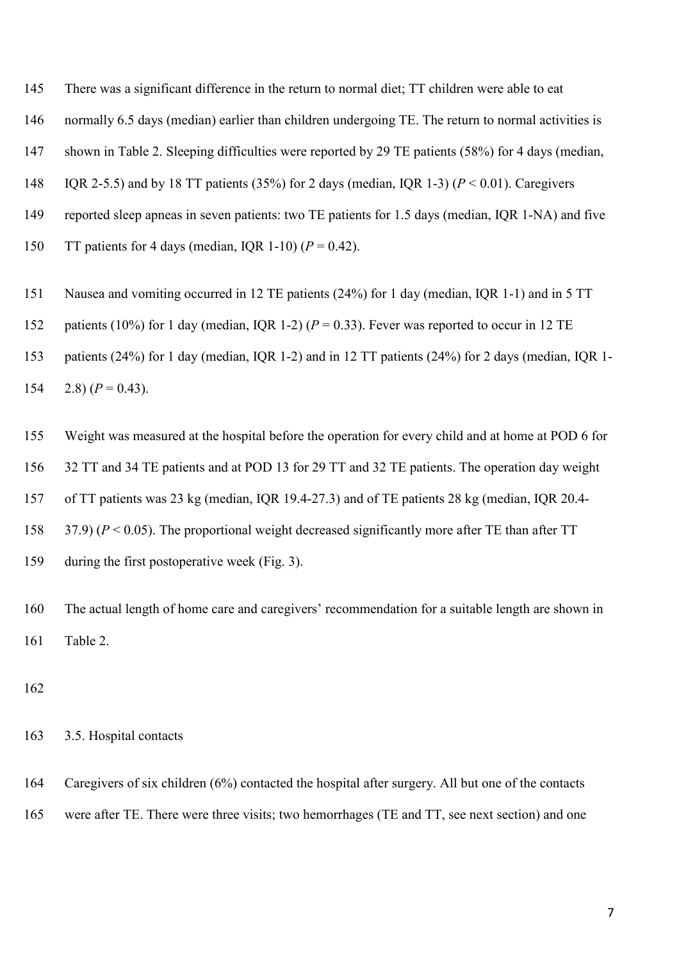There was a significant difference in the return to normal diet; TT children were able to eat

normally 6.5 days (median) earlier than children undergoing TE. The return to normal activities is

shown in Table 2. Sleeping difficulties were reported by 29 TE patients (58%) for 4 days (median,

IQR 2-5.5) and by 18 TT patients (35%) for 2 days (median, IQR 1-3) (*P* < 0.01). Caregivers

reported sleep apneas in seven patients: two TE patients for 1.5 days (median, IQR 1-NA) and five

150 TT patients for 4 days (median, IQR 1-10)  $(P = 0.42)$ .

Nausea and vomiting occurred in 12 TE patients (24%) for 1 day (median, IQR 1-1) and in 5 TT

patients (10%) for 1 day (median, IQR 1-2) (*P* = 0.33). Fever was reported to occur in 12 TE

 patients (24%) for 1 day (median, IQR 1-2) and in 12 TT patients (24%) for 2 days (median, IQR 1- 154 2.8)  $(P = 0.43)$ .

Weight was measured at the hospital before the operation for every child and at home at POD 6 for

32 TT and 34 TE patients and at POD 13 for 29 TT and 32 TE patients. The operation day weight

of TT patients was 23 kg (median, IQR 19.4-27.3) and of TE patients 28 kg (median, IQR 20.4-

37.9) (*P* < 0.05). The proportional weight decreased significantly more after TE than after TT

during the first postoperative week (Fig. 3).

 The actual length of home care and caregivers' recommendation for a suitable length are shown in Table 2.

3.5. Hospital contacts

 Caregivers of six children (6%) contacted the hospital after surgery. All but one of the contacts were after TE. There were three visits; two hemorrhages (TE and TT, see next section) and one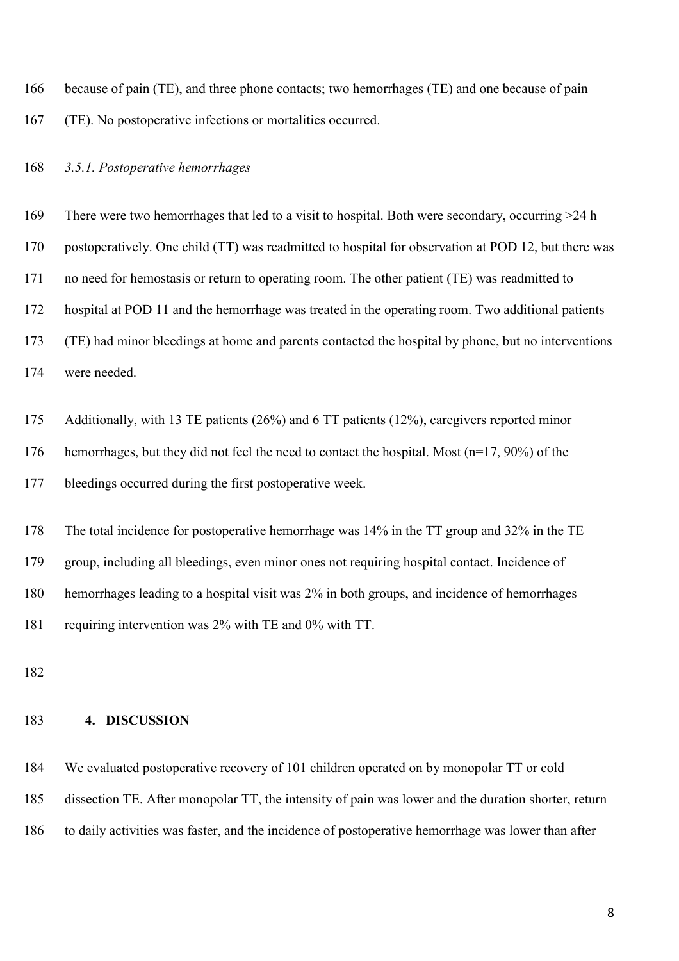because of pain (TE), and three phone contacts; two hemorrhages (TE) and one because of pain (TE). No postoperative infections or mortalities occurred.

## *3.5.1. Postoperative hemorrhages*

 There were two hemorrhages that led to a visit to hospital. Both were secondary, occurring >24 h postoperatively. One child (TT) was readmitted to hospital for observation at POD 12, but there was no need for hemostasis or return to operating room. The other patient (TE) was readmitted to hospital at POD 11 and the hemorrhage was treated in the operating room. Two additional patients (TE) had minor bleedings at home and parents contacted the hospital by phone, but no interventions were needed.

Additionally, with 13 TE patients (26%) and 6 TT patients (12%), caregivers reported minor

hemorrhages, but they did not feel the need to contact the hospital. Most (n=17, 90%) of the

bleedings occurred during the first postoperative week.

 The total incidence for postoperative hemorrhage was 14% in the TT group and 32% in the TE group, including all bleedings, even minor ones not requiring hospital contact. Incidence of hemorrhages leading to a hospital visit was 2% in both groups, and incidence of hemorrhages requiring intervention was 2% with TE and 0% with TT.

# **4. DISCUSSION**

 We evaluated postoperative recovery of 101 children operated on by monopolar TT or cold dissection TE. After monopolar TT, the intensity of pain was lower and the duration shorter, return to daily activities was faster, and the incidence of postoperative hemorrhage was lower than after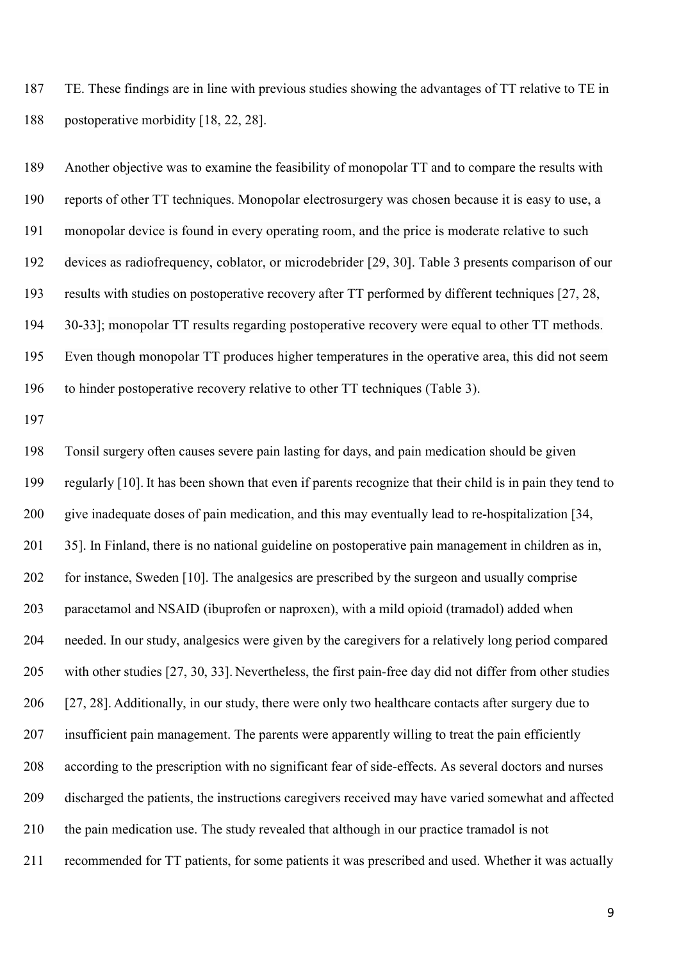TE. These findings are in line with previous studies showing the advantages of TT relative to TE in postoperative morbidity [18, 22, 28].

 Another objective was to examine the feasibility of monopolar TT and to compare the results with reports of other TT techniques. Monopolar electrosurgery was chosen because it is easy to use, a monopolar device is found in every operating room, and the price is moderate relative to such devices as radiofrequency, coblator, or microdebrider [29, 30]. Table 3 presents comparison of our results with studies on postoperative recovery after TT performed by different techniques [27, 28, 30-33]; monopolar TT results regarding postoperative recovery were equal to other TT methods. Even though monopolar TT produces higher temperatures in the operative area, this did not seem to hinder postoperative recovery relative to other TT techniques (Table 3).

 Tonsil surgery often causes severe pain lasting for days, and pain medication should be given regularly [10]. It has been shown that even if parents recognize that their child is in pain they tend to give inadequate doses of pain medication, and this may eventually lead to re-hospitalization [34, 35]. In Finland, there is no national guideline on postoperative pain management in children as in, for instance, Sweden [10]. The analgesics are prescribed by the surgeon and usually comprise paracetamol and NSAID (ibuprofen or naproxen), with a mild opioid (tramadol) added when needed. In our study, analgesics were given by the caregivers for a relatively long period compared with other studies [27, 30, 33]. Nevertheless, the first pain-free day did not differ from other studies [27, 28]. Additionally, in our study, there were only two healthcare contacts after surgery due to 207 insufficient pain management. The parents were apparently willing to treat the pain efficiently according to the prescription with no significant fear of side-effects. As several doctors and nurses discharged the patients, the instructions caregivers received may have varied somewhat and affected the pain medication use. The study revealed that although in our practice tramadol is not recommended for TT patients, for some patients it was prescribed and used. Whether it was actually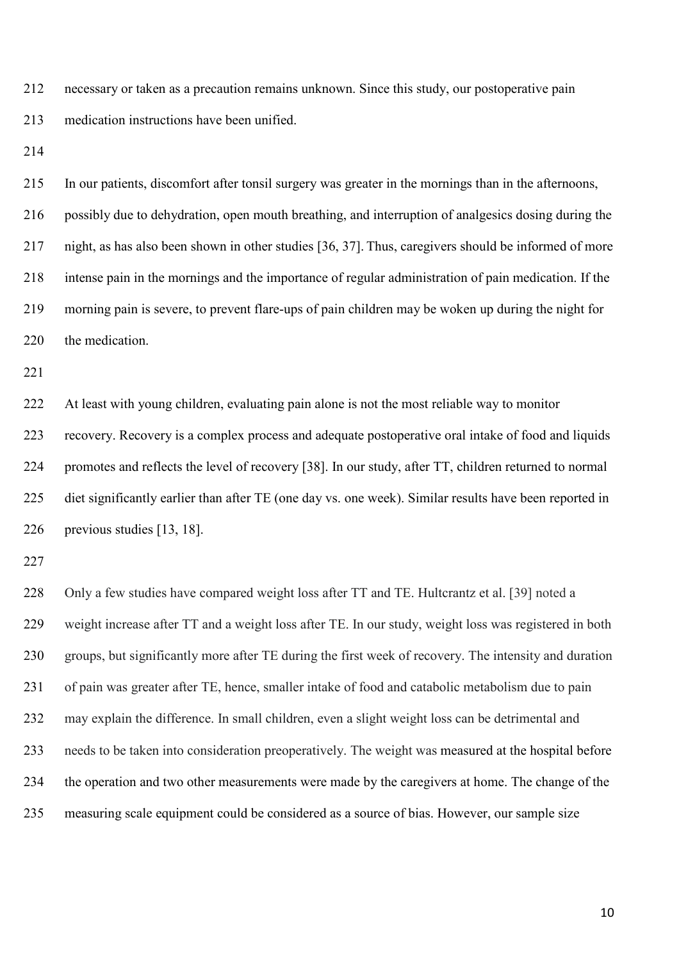necessary or taken as a precaution remains unknown. Since this study, our postoperative pain medication instructions have been unified.

 In our patients, discomfort after tonsil surgery was greater in the mornings than in the afternoons, possibly due to dehydration, open mouth breathing, and interruption of analgesics dosing during the night, as has also been shown in other studies [36, 37]. Thus, caregivers should be informed of more intense pain in the mornings and the importance of regular administration of pain medication. If the morning pain is severe, to prevent flare-ups of pain children may be woken up during the night for the medication.

 At least with young children, evaluating pain alone is not the most reliable way to monitor recovery. Recovery is a complex process and adequate postoperative oral intake of food and liquids promotes and reflects the level of recovery [38]. In our study, after TT, children returned to normal diet significantly earlier than after TE (one day vs. one week). Similar results have been reported in previous studies [13, 18].

 Only a few studies have compared weight loss after TT and TE. Hultcrantz et al. [39] noted a weight increase after TT and a weight loss after TE. In our study, weight loss was registered in both groups, but significantly more after TE during the first week of recovery. The intensity and duration of pain was greater after TE, hence, smaller intake of food and catabolic metabolism due to pain may explain the difference. In small children, even a slight weight loss can be detrimental and needs to be taken into consideration preoperatively. The weight was measured at the hospital before the operation and two other measurements were made by the caregivers at home. The change of the measuring scale equipment could be considered as a source of bias. However, our sample size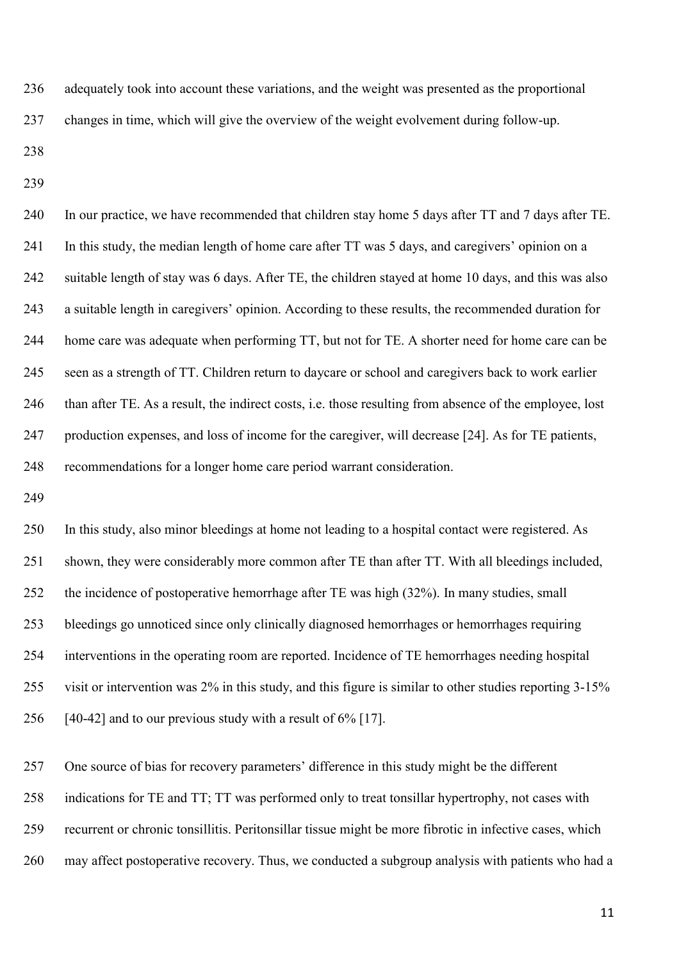adequately took into account these variations, and the weight was presented as the proportional changes in time, which will give the overview of the weight evolvement during follow-up.

 In our practice, we have recommended that children stay home 5 days after TT and 7 days after TE. In this study, the median length of home care after TT was 5 days, and caregivers' opinion on a suitable length of stay was 6 days. After TE, the children stayed at home 10 days, and this was also a suitable length in caregivers' opinion. According to these results, the recommended duration for home care was adequate when performing TT, but not for TE. A shorter need for home care can be seen as a strength of TT. Children return to daycare or school and caregivers back to work earlier than after TE. As a result, the indirect costs, i.e. those resulting from absence of the employee, lost production expenses, and loss of income for the caregiver, will decrease [24]. As for TE patients, recommendations for a longer home care period warrant consideration.

 In this study, also minor bleedings at home not leading to a hospital contact were registered. As shown, they were considerably more common after TE than after TT. With all bleedings included, the incidence of postoperative hemorrhage after TE was high (32%). In many studies, small bleedings go unnoticed since only clinically diagnosed hemorrhages or hemorrhages requiring interventions in the operating room are reported. Incidence of TE hemorrhages needing hospital visit or intervention was 2% in this study, and this figure is similar to other studies reporting 3-15% [40-42] and to our previous study with a result of 6% [17].

One source of bias for recovery parameters' difference in this study might be the different

indications for TE and TT; TT was performed only to treat tonsillar hypertrophy, not cases with

recurrent or chronic tonsillitis. Peritonsillar tissue might be more fibrotic in infective cases, which

may affect postoperative recovery. Thus, we conducted a subgroup analysis with patients who had a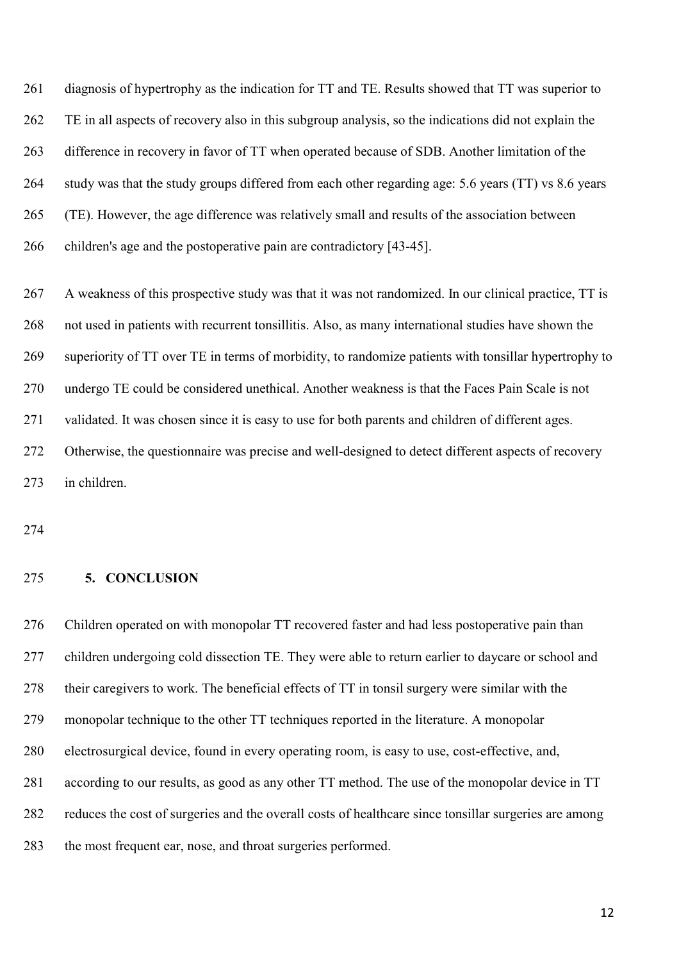261 diagnosis of hypertrophy as the indication for TT and TE. Results showed that TT was superior to TE in all aspects of recovery also in this subgroup analysis, so the indications did not explain the difference in recovery in favor of TT when operated because of SDB. Another limitation of the study was that the study groups differed from each other regarding age: 5.6 years (TT) vs 8.6 years (TE). However, the age difference was relatively small and results of the association between children's age and the postoperative pain are contradictory [43-45].

 A weakness of this prospective study was that it was not randomized. In our clinical practice, TT is not used in patients with recurrent tonsillitis. Also, as many international studies have shown the superiority of TT over TE in terms of morbidity, to randomize patients with tonsillar hypertrophy to undergo TE could be considered unethical. Another weakness is that the Faces Pain Scale is not validated. It was chosen since it is easy to use for both parents and children of different ages. Otherwise, the questionnaire was precise and well-designed to detect different aspects of recovery in children.

#### **5. CONCLUSION**

 Children operated on with monopolar TT recovered faster and had less postoperative pain than children undergoing cold dissection TE. They were able to return earlier to daycare or school and their caregivers to work. The beneficial effects of TT in tonsil surgery were similar with the monopolar technique to the other TT techniques reported in the literature. A monopolar electrosurgical device, found in every operating room, is easy to use, cost-effective, and, according to our results, as good as any other TT method. The use of the monopolar device in TT reduces the cost of surgeries and the overall costs of healthcare since tonsillar surgeries are among the most frequent ear, nose, and throat surgeries performed.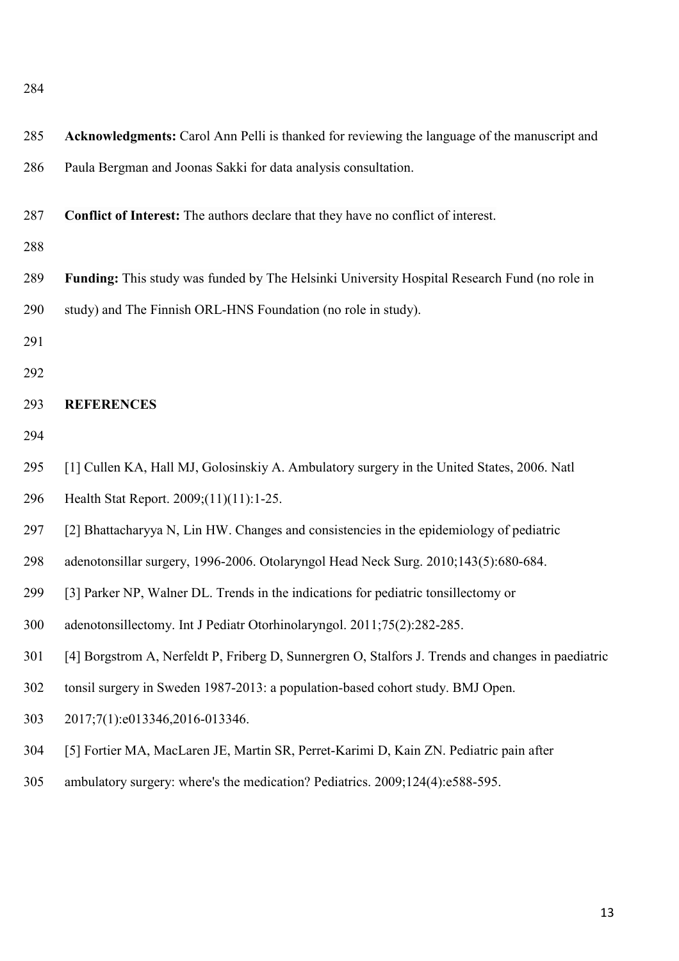| 285 | Acknowledgments: Carol Ann Pelli is thanked for reviewing the language of the manuscript and       |
|-----|----------------------------------------------------------------------------------------------------|
| 286 | Paula Bergman and Joonas Sakki for data analysis consultation.                                     |
| 287 | Conflict of Interest: The authors declare that they have no conflict of interest.                  |
| 288 |                                                                                                    |
| 289 | Funding: This study was funded by The Helsinki University Hospital Research Fund (no role in       |
| 290 | study) and The Finnish ORL-HNS Foundation (no role in study).                                      |
| 291 |                                                                                                    |
| 292 |                                                                                                    |
| 293 | <b>REFERENCES</b>                                                                                  |
| 294 |                                                                                                    |
| 295 | [1] Cullen KA, Hall MJ, Golosinskiy A. Ambulatory surgery in the United States, 2006. Natl         |
| 296 | Health Stat Report. 2009;(11)(11):1-25.                                                            |
| 297 | [2] Bhattacharyya N, Lin HW. Changes and consistencies in the epidemiology of pediatric            |
| 298 | adenotonsillar surgery, 1996-2006. Otolaryngol Head Neck Surg. 2010;143(5):680-684.                |
| 299 | [3] Parker NP, Walner DL. Trends in the indications for pediatric tonsillectomy or                 |
| 300 | adenotonsillectomy. Int J Pediatr Otorhinolaryngol. 2011;75(2):282-285.                            |
| 301 | [4] Borgstrom A, Nerfeldt P, Friberg D, Sunnergren O, Stalfors J. Trends and changes in paediatric |
| 302 | tonsil surgery in Sweden 1987-2013: a population-based cohort study. BMJ Open.                     |
| 303 | 2017;7(1):e013346,2016-013346.                                                                     |
| 304 | [5] Fortier MA, MacLaren JE, Martin SR, Perret-Karimi D, Kain ZN. Pediatric pain after             |
| 305 | ambulatory surgery: where's the medication? Pediatrics. 2009;124(4):e588-595.                      |
|     |                                                                                                    |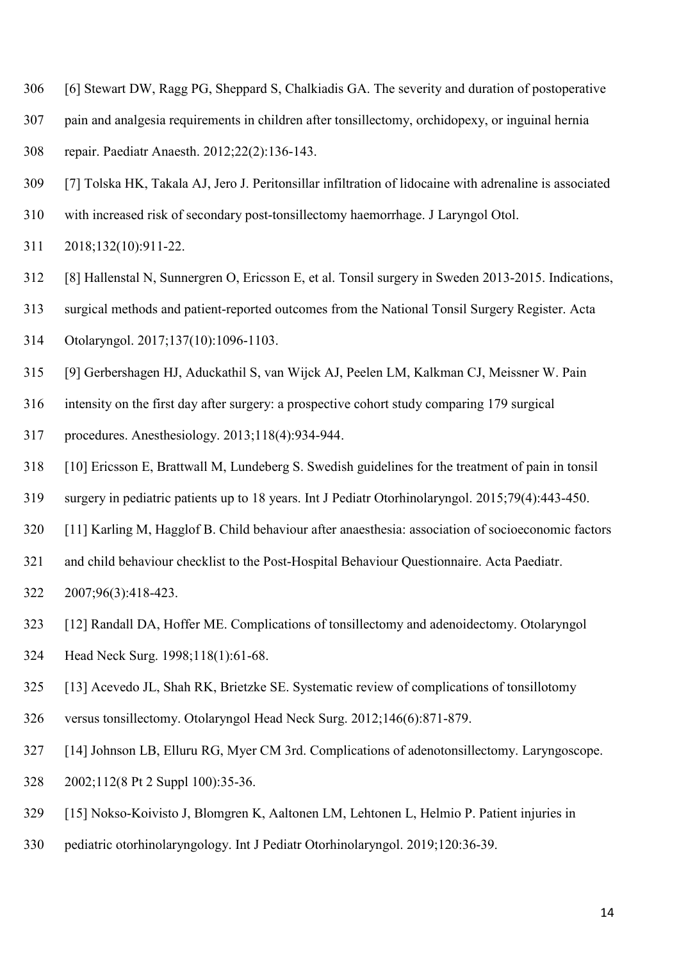- [6] Stewart DW, Ragg PG, Sheppard S, Chalkiadis GA. The severity and duration of postoperative
- pain and analgesia requirements in children after tonsillectomy, orchidopexy, or inguinal hernia
- repair. Paediatr Anaesth. 2012;22(2):136-143.
- [7] Tolska HK, Takala AJ, Jero J. Peritonsillar infiltration of lidocaine with adrenaline is associated
- with increased risk of secondary post-tonsillectomy haemorrhage. J Laryngol Otol.
- 2018;132(10):911-22.
- [8] Hallenstal N, Sunnergren O, Ericsson E, et al. Tonsil surgery in Sweden 2013-2015. Indications,
- surgical methods and patient-reported outcomes from the National Tonsil Surgery Register. Acta
- Otolaryngol. 2017;137(10):1096-1103.
- [9] Gerbershagen HJ, Aduckathil S, van Wijck AJ, Peelen LM, Kalkman CJ, Meissner W. Pain
- intensity on the first day after surgery: a prospective cohort study comparing 179 surgical
- procedures. Anesthesiology. 2013;118(4):934-944.
- [10] Ericsson E, Brattwall M, Lundeberg S. Swedish guidelines for the treatment of pain in tonsil
- surgery in pediatric patients up to 18 years. Int J Pediatr Otorhinolaryngol. 2015;79(4):443-450.
- [11] Karling M, Hagglof B. Child behaviour after anaesthesia: association of socioeconomic factors
- and child behaviour checklist to the Post-Hospital Behaviour Questionnaire. Acta Paediatr.
- 2007;96(3):418-423.
- [12] Randall DA, Hoffer ME. Complications of tonsillectomy and adenoidectomy. Otolaryngol
- Head Neck Surg. 1998;118(1):61-68.
- [13] Acevedo JL, Shah RK, Brietzke SE. Systematic review of complications of tonsillotomy
- versus tonsillectomy. Otolaryngol Head Neck Surg. 2012;146(6):871-879.
- [14] Johnson LB, Elluru RG, Myer CM 3rd. Complications of adenotonsillectomy. Laryngoscope.
- 2002;112(8 Pt 2 Suppl 100):35-36.
- [15] Nokso-Koivisto J, Blomgren K, Aaltonen LM, Lehtonen L, Helmio P. Patient injuries in
- pediatric otorhinolaryngology. Int J Pediatr Otorhinolaryngol. 2019;120:36-39.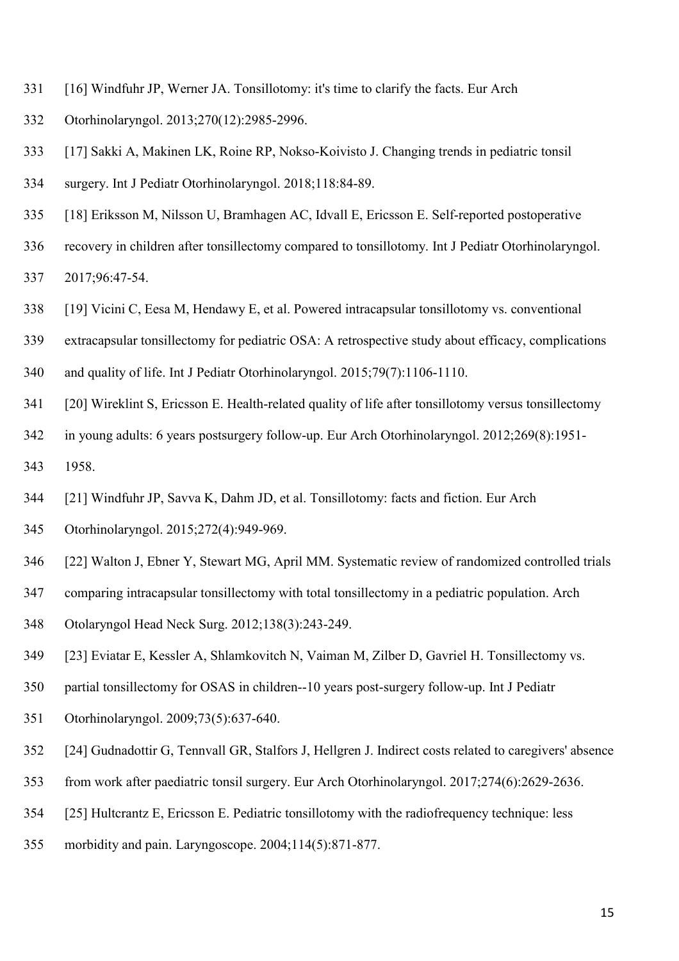- [16] Windfuhr JP, Werner JA. Tonsillotomy: it's time to clarify the facts. Eur Arch
- Otorhinolaryngol. 2013;270(12):2985-2996.
- [17] Sakki A, Makinen LK, Roine RP, Nokso-Koivisto J. Changing trends in pediatric tonsil
- surgery. Int J Pediatr Otorhinolaryngol. 2018;118:84-89.
- [18] Eriksson M, Nilsson U, Bramhagen AC, Idvall E, Ericsson E. Self-reported postoperative
- recovery in children after tonsillectomy compared to tonsillotomy. Int J Pediatr Otorhinolaryngol.
- 2017;96:47-54.
- [19] Vicini C, Eesa M, Hendawy E, et al. Powered intracapsular tonsillotomy vs. conventional
- extracapsular tonsillectomy for pediatric OSA: A retrospective study about efficacy, complications
- and quality of life. Int J Pediatr Otorhinolaryngol. 2015;79(7):1106-1110.
- [20] Wireklint S, Ericsson E. Health-related quality of life after tonsillotomy versus tonsillectomy
- in young adults: 6 years postsurgery follow-up. Eur Arch Otorhinolaryngol. 2012;269(8):1951-
- 1958.
- [21] Windfuhr JP, Savva K, Dahm JD, et al. Tonsillotomy: facts and fiction. Eur Arch
- Otorhinolaryngol. 2015;272(4):949-969.
- [22] Walton J, Ebner Y, Stewart MG, April MM. Systematic review of randomized controlled trials
- comparing intracapsular tonsillectomy with total tonsillectomy in a pediatric population. Arch
- Otolaryngol Head Neck Surg. 2012;138(3):243-249.
- [23] Eviatar E, Kessler A, Shlamkovitch N, Vaiman M, Zilber D, Gavriel H. Tonsillectomy vs.
- partial tonsillectomy for OSAS in children--10 years post-surgery follow-up. Int J Pediatr
- Otorhinolaryngol. 2009;73(5):637-640.
- [24] Gudnadottir G, Tennvall GR, Stalfors J, Hellgren J. Indirect costs related to caregivers' absence
- from work after paediatric tonsil surgery. Eur Arch Otorhinolaryngol. 2017;274(6):2629-2636.
- [25] Hultcrantz E, Ericsson E. Pediatric tonsillotomy with the radiofrequency technique: less
- morbidity and pain. Laryngoscope. 2004;114(5):871-877.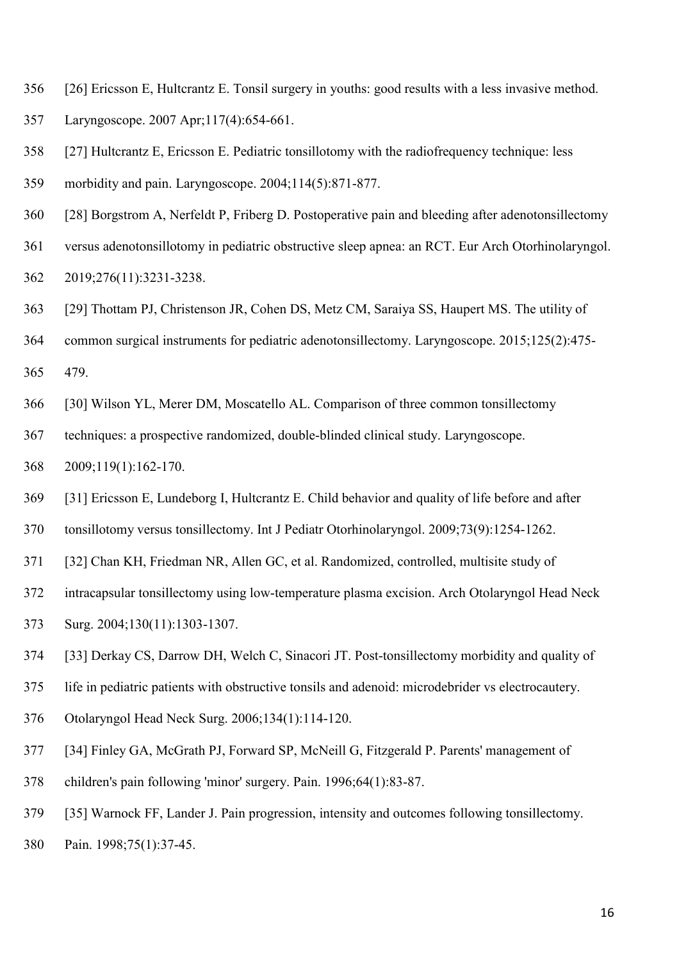- [26] Ericsson E, Hultcrantz E. Tonsil surgery in youths: good results with a less invasive method.
- Laryngoscope. 2007 Apr;117(4):654-661.
- [27] Hultcrantz E, Ericsson E. Pediatric tonsillotomy with the radiofrequency technique: less
- morbidity and pain. Laryngoscope. 2004;114(5):871-877.
- [28] Borgstrom A, Nerfeldt P, Friberg D. Postoperative pain and bleeding after adenotonsillectomy
- versus adenotonsillotomy in pediatric obstructive sleep apnea: an RCT. Eur Arch Otorhinolaryngol.

2019;276(11):3231-3238.

- [29] Thottam PJ, Christenson JR, Cohen DS, Metz CM, Saraiya SS, Haupert MS. The utility of
- common surgical instruments for pediatric adenotonsillectomy. Laryngoscope. 2015;125(2):475-

479.

- [30] Wilson YL, Merer DM, Moscatello AL. Comparison of three common tonsillectomy
- techniques: a prospective randomized, double-blinded clinical study. Laryngoscope.
- 2009;119(1):162-170.
- [31] Ericsson E, Lundeborg I, Hultcrantz E. Child behavior and quality of life before and after
- tonsillotomy versus tonsillectomy. Int J Pediatr Otorhinolaryngol. 2009;73(9):1254-1262.
- [32] Chan KH, Friedman NR, Allen GC, et al. Randomized, controlled, multisite study of
- intracapsular tonsillectomy using low-temperature plasma excision. Arch Otolaryngol Head Neck
- Surg. 2004;130(11):1303-1307.
- [33] Derkay CS, Darrow DH, Welch C, Sinacori JT. Post-tonsillectomy morbidity and quality of
- life in pediatric patients with obstructive tonsils and adenoid: microdebrider vs electrocautery.
- Otolaryngol Head Neck Surg. 2006;134(1):114-120.
- [34] Finley GA, McGrath PJ, Forward SP, McNeill G, Fitzgerald P. Parents' management of
- children's pain following 'minor' surgery. Pain. 1996;64(1):83-87.
- [35] Warnock FF, Lander J. Pain progression, intensity and outcomes following tonsillectomy.
- Pain. 1998;75(1):37-45.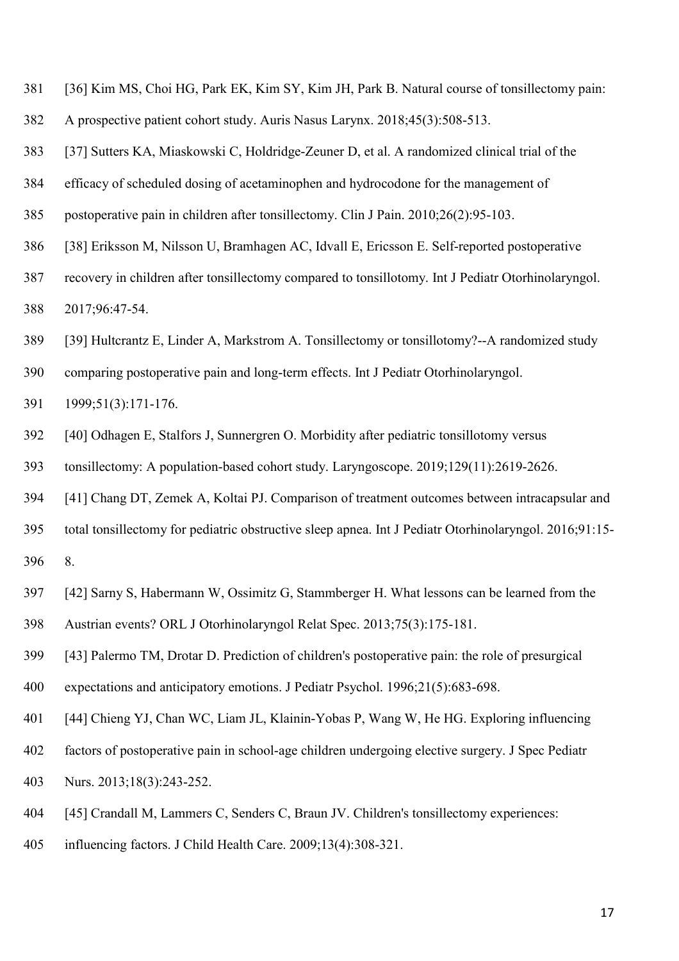- [36] Kim MS, Choi HG, Park EK, Kim SY, Kim JH, Park B. Natural course of tonsillectomy pain:
- A prospective patient cohort study. Auris Nasus Larynx. 2018;45(3):508-513.

[37] Sutters KA, Miaskowski C, Holdridge-Zeuner D, et al. A randomized clinical trial of the

- efficacy of scheduled dosing of acetaminophen and hydrocodone for the management of
- postoperative pain in children after tonsillectomy. Clin J Pain. 2010;26(2):95-103.
- [38] Eriksson M, Nilsson U, Bramhagen AC, Idvall E, Ericsson E. Self-reported postoperative
- recovery in children after tonsillectomy compared to tonsillotomy. Int J Pediatr Otorhinolaryngol. 2017;96:47-54.
- [39] Hultcrantz E, Linder A, Markstrom A. Tonsillectomy or tonsillotomy?--A randomized study
- comparing postoperative pain and long-term effects. Int J Pediatr Otorhinolaryngol.
- 1999;51(3):171-176.
- [40] Odhagen E, Stalfors J, Sunnergren O. Morbidity after pediatric tonsillotomy versus
- tonsillectomy: A population-based cohort study. Laryngoscope. 2019;129(11):2619-2626.
- [41] Chang DT, Zemek A, Koltai PJ. Comparison of treatment outcomes between intracapsular and
- total tonsillectomy for pediatric obstructive sleep apnea. Int J Pediatr Otorhinolaryngol. 2016;91:15-
- 8.
- [42] Sarny S, Habermann W, Ossimitz G, Stammberger H. What lessons can be learned from the
- Austrian events? ORL J Otorhinolaryngol Relat Spec. 2013;75(3):175-181.
- [43] Palermo TM, Drotar D. Prediction of children's postoperative pain: the role of presurgical
- expectations and anticipatory emotions. J Pediatr Psychol. 1996;21(5):683-698.
- [44] Chieng YJ, Chan WC, Liam JL, Klainin-Yobas P, Wang W, He HG. Exploring influencing
- factors of postoperative pain in school-age children undergoing elective surgery. J Spec Pediatr
- Nurs. 2013;18(3):243-252.
- [45] Crandall M, Lammers C, Senders C, Braun JV. Children's tonsillectomy experiences:
- influencing factors. J Child Health Care. 2009;13(4):308-321.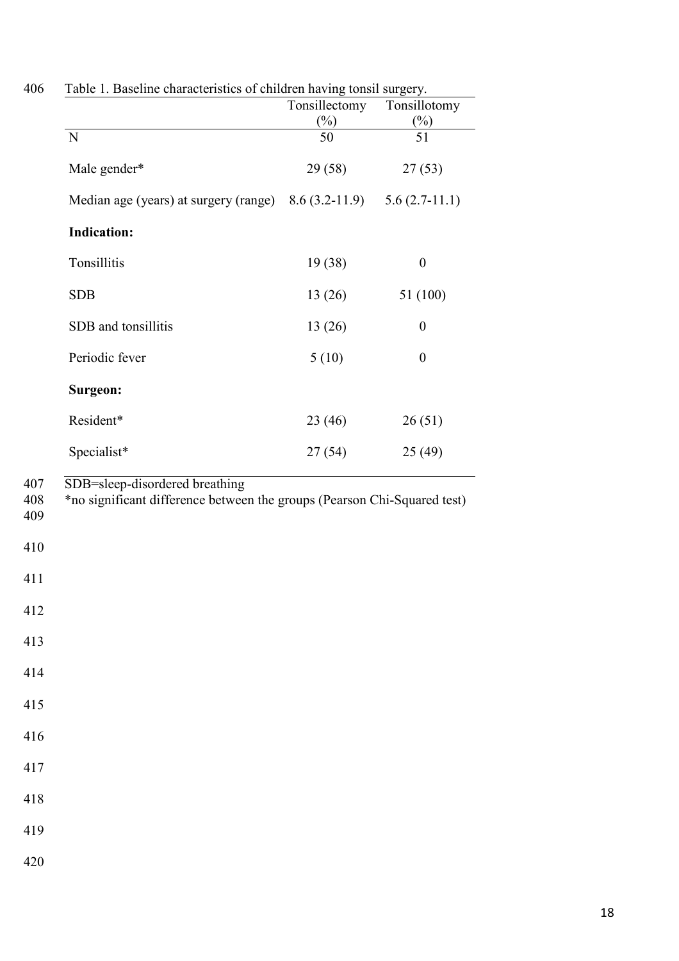| $\binom{0}{0}$<br>N<br>50<br>Male gender*<br>29 (58)<br>Median age (years) at surgery (range)<br>$8.6(3.2-11.9)$<br><b>Indication:</b><br>Tonsillitis<br>19 (38) | $(\%)$<br>51<br>27(53)<br>$5.6(2.7-11.1)$ |
|------------------------------------------------------------------------------------------------------------------------------------------------------------------|-------------------------------------------|
|                                                                                                                                                                  |                                           |
|                                                                                                                                                                  |                                           |
|                                                                                                                                                                  |                                           |
|                                                                                                                                                                  |                                           |
|                                                                                                                                                                  |                                           |
|                                                                                                                                                                  | $\boldsymbol{0}$                          |
| <b>SDB</b><br>13(26)                                                                                                                                             | 51 (100)                                  |
| SDB and tonsillitis<br>13(26)                                                                                                                                    | $\boldsymbol{0}$                          |
| Periodic fever<br>5(10)                                                                                                                                          | $\boldsymbol{0}$                          |
| Surgeon:                                                                                                                                                         |                                           |
| Resident*<br>23(46)                                                                                                                                              | 26(51)                                    |
| Specialist*<br>27(54)                                                                                                                                            | 25(49)                                    |
| *no significant difference between the groups (Pearson Chi-Squared test)                                                                                         |                                           |
|                                                                                                                                                                  |                                           |
|                                                                                                                                                                  |                                           |
|                                                                                                                                                                  |                                           |
|                                                                                                                                                                  |                                           |
|                                                                                                                                                                  |                                           |
|                                                                                                                                                                  |                                           |
|                                                                                                                                                                  |                                           |

| 406 |  | Table 1. Baseline characteristics of children having tonsil surgery. |  |  |
|-----|--|----------------------------------------------------------------------|--|--|
|     |  |                                                                      |  |  |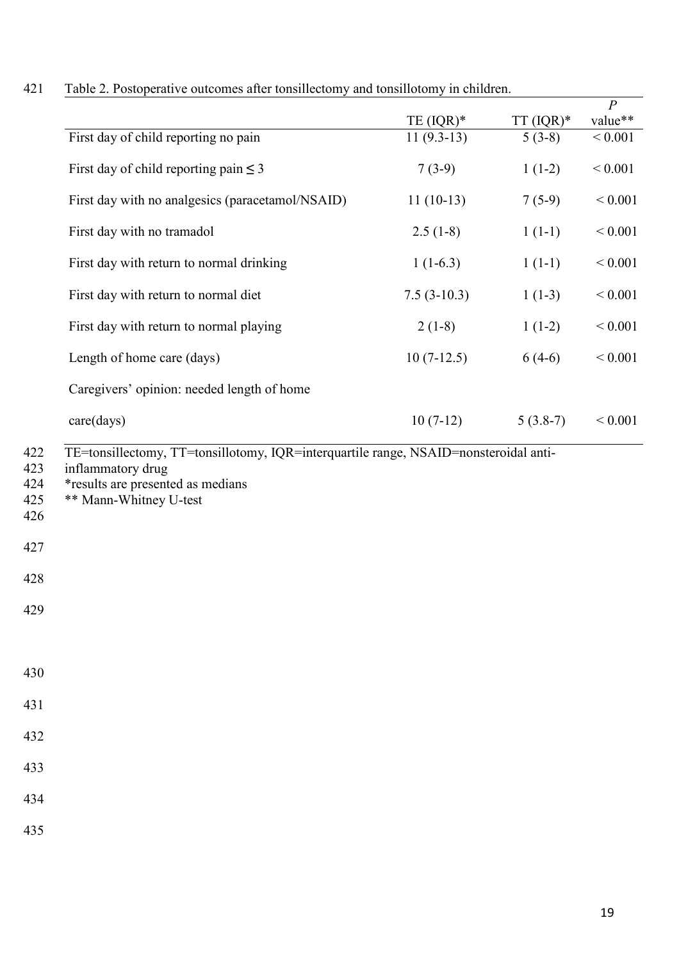| 421 |  |  |  |  | Table 2. Postoperative outcomes after tonsillectomy and tonsillotomy in children. |  |
|-----|--|--|--|--|-----------------------------------------------------------------------------------|--|
|-----|--|--|--|--|-----------------------------------------------------------------------------------|--|

| Table $\angle$ . Postoperative outcomes after tonsillectomy and tonsillotomy in children. |               |             |                           |
|-------------------------------------------------------------------------------------------|---------------|-------------|---------------------------|
|                                                                                           | TE $(IQR)^*$  | $TT (IQR)*$ | $\overline{P}$<br>value** |
| First day of child reporting no pain                                                      | $11(9.3-13)$  | $5(3-8)$    | ${}< 0.001$               |
| First day of child reporting pain $\leq$ 3                                                | $7(3-9)$      | $1(1-2)$    | $< 0.001$                 |
| First day with no analgesics (paracetamol/NSAID)                                          | $11(10-13)$   | $7(5-9)$    | ${}< 0.001$               |
| First day with no tramadol                                                                | $2.5(1-8)$    | $1(1-1)$    | ${}< 0.001$               |
| First day with return to normal drinking                                                  | $1(1-6.3)$    | $1(1-1)$    | ${}< 0.001$               |
| First day with return to normal diet                                                      | $7.5(3-10.3)$ | $1(1-3)$    | ${}< 0.001$               |
| First day with return to normal playing                                                   | $2(1-8)$      | $1(1-2)$    | ${}< 0.001$               |
| Length of home care (days)                                                                | $10(7-12.5)$  | $6(4-6)$    | ${}< 0.001$               |
| Caregivers' opinion: needed length of home                                                |               |             |                           |
| care(days)                                                                                | $10(7-12)$    | $5(3.8-7)$  | ${}< 0.001$               |
| *results are presented as medians<br>** Mann-Whitney U-test                               |               |             |                           |
|                                                                                           |               |             |                           |
|                                                                                           |               |             |                           |
|                                                                                           |               |             |                           |
|                                                                                           |               |             |                           |
|                                                                                           |               |             |                           |
|                                                                                           |               |             |                           |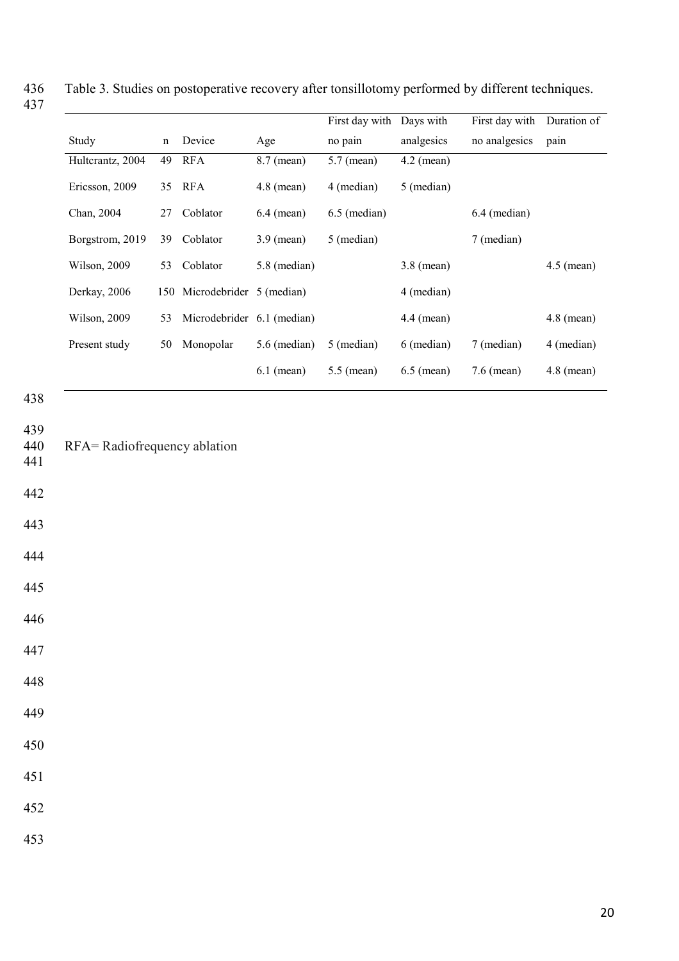|                  |             |                            |                | First day with Days with |              | First day with         | Duration of  |
|------------------|-------------|----------------------------|----------------|--------------------------|--------------|------------------------|--------------|
| Study            | $\mathbf n$ | Device                     | Age            | no pain                  | analgesics   | no analgesics          | pain         |
| Hultcrantz, 2004 | 49          | <b>RFA</b>                 | $8.7$ (mean)   | $5.7$ (mean)             | $4.2$ (mean) |                        |              |
| Ericsson, 2009   | 35          | <b>RFA</b>                 | $4.8$ (mean)   | 4 (median)               | 5 (median)   |                        |              |
| Chan, 2004       | 27          | Coblator                   | $6.4$ (mean)   | 6.5 (median)             |              | $6.4 \text{ (median)}$ |              |
| Borgstrom, 2019  | 39          | Coblator                   | $3.9$ (mean)   | 5 (median)               |              | 7 (median)             |              |
| Wilson, 2009     | 53          | Coblator                   | 5.8 (median)   |                          | $3.8$ (mean) |                        | $4.5$ (mean) |
| Derkay, 2006     | 150         | Microdebrider 5 (median)   |                |                          | 4 (median)   |                        |              |
| Wilson, 2009     | 53          | Microdebrider 6.1 (median) |                |                          | $4.4$ (mean) |                        | $4.8$ (mean) |
| Present study    | 50          | Monopolar                  | $5.6$ (median) | 5 (median)               | 6 (median)   | 7 (median)             | 4 (median)   |
|                  |             |                            | $6.1$ (mean)   | $5.5$ (mean)             | $6.5$ (mean) | $7.6$ (mean)           | $4.8$ (mean) |

Table 3. Studies on postoperative recovery after tonsillotomy performed by different techniques. 436<br>437

| 439<br>440<br>441 | RFA= Radiofrequency ablation |
|-------------------|------------------------------|
| 442               |                              |
| 443               |                              |
| 444               |                              |
| 445               |                              |
| 446               |                              |
| 447               |                              |
| 448               |                              |
| 449               |                              |
| 450               |                              |
| 451               |                              |
| 452               |                              |
| 453               |                              |